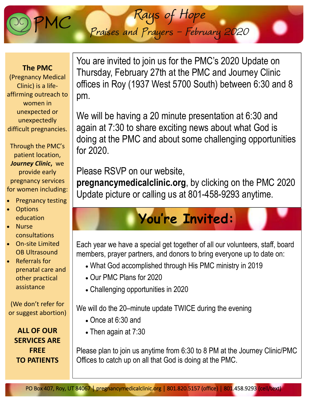You are invited to join us for the PMC's 2020 Update on Thursday, February 27th at the PMC and Journey Clinic offices in Roy (1937 West 5700 South) between 6:30 and 8 pm.

*Rays of Hope* 

*Praises and Prayers - February 2020* 

We will be having a 20 minute presentation at 6:30 and again at 7:30 to share exciting news about what God is doing at the PMC and about some challenging opportunities for 2020.

Please RSVP on our website,

**pregnancymedicalclinic.org**, by clicking on the PMC 2020 Update picture or calling us at 801-458-9293 anytime.

## **You're Invited:**

Each year we have a special get together of all our volunteers, staff, board members, prayer partners, and donors to bring everyone up to date on:

- What God accomplished through His PMC ministry in 2019
- Our PMC Plans for 2020
- Challenging opportunities in 2020

We will do the 20–minute update TWICE during the evening

- Once at 6:30 and
- Then again at 7:30

Please plan to join us anytime from 6:30 to 8 PM at the Journey Clinic/PMC Offices to catch up on all that God is doing at the PMC.

(We don't refer for or suggest abortion)

**ALL OF OUR SERVICES ARE FREE TO PATIENTS**

**The PMC** 

(Pregnancy Medical Clinic) is a life‐ affirming outreach to women in unexpected or unexpectedly difficult pregnancies.

Through the PMC's patient location, *Journey Clinic***,** we provide early pregnancy services for women including:

- Pregnancy testing
- **Options** education
- **Nurse** consultations
- On‐site Limited OB Ultrasound

• Referrals for prenatal care and other practical assistance